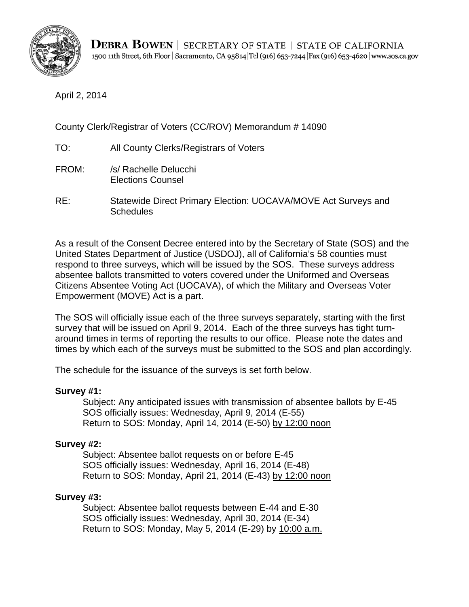

April 2, 2014

County Clerk/Registrar of Voters (CC/ROV) Memorandum # 14090

- TO: All County Clerks/Registrars of Voters
- FROM: /s/ Rachelle Delucchi Elections Counsel
- RE: Statewide Direct Primary Election: UOCAVA/MOVE Act Surveys and **Schedules**

As a result of the Consent Decree entered into by the Secretary of State (SOS) and the United States Department of Justice (USDOJ), all of California's 58 counties must respond to three surveys, which will be issued by the SOS. These surveys address absentee ballots transmitted to voters covered under the Uniformed and Overseas Citizens Absentee Voting Act (UOCAVA), of which the Military and Overseas Voter Empowerment (MOVE) Act is a part.

The SOS will officially issue each of the three surveys separately, starting with the first survey that will be issued on April 9, 2014. Each of the three surveys has tight turnaround times in terms of reporting the results to our office. Please note the dates and times by which each of the surveys must be submitted to the SOS and plan accordingly.

The schedule for the issuance of the surveys is set forth below.

## **Survey #1:**

Subject: Any anticipated issues with transmission of absentee ballots by E-45 SOS officially issues: Wednesday, April 9, 2014 (E-55) Return to SOS: Monday, April 14, 2014 (E-50) by 12:00 noon

## **Survey #2:**

Subject: Absentee ballot requests on or before E-45 SOS officially issues: Wednesday, April 16, 2014 (E-48) Return to SOS: Monday, April 21, 2014 (E-43) by 12:00 noon

## **Survey #3:**

Subject: Absentee ballot requests between E-44 and E-30 SOS officially issues: Wednesday, April 30, 2014 (E-34) Return to SOS: Monday, May 5, 2014 (E-29) by 10:00 a.m.